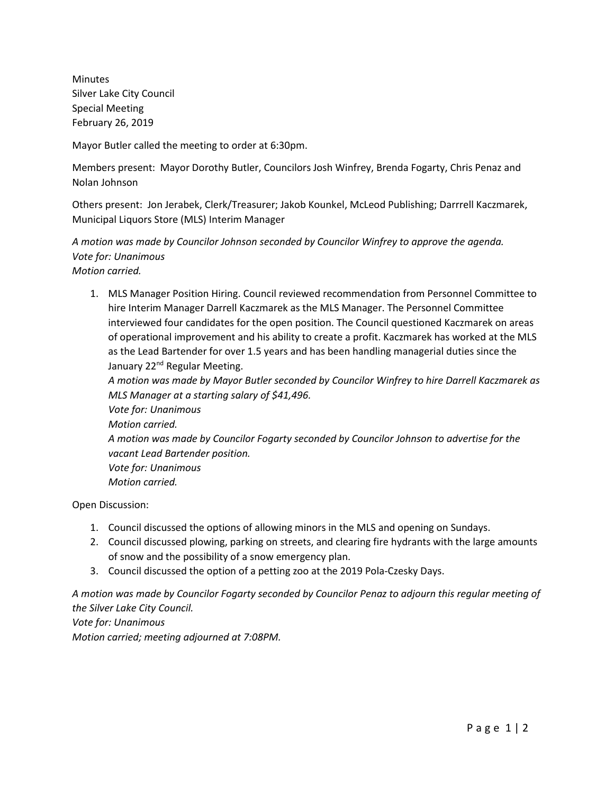Minutes Silver Lake City Council Special Meeting February 26, 2019

Mayor Butler called the meeting to order at 6:30pm.

Members present: Mayor Dorothy Butler, Councilors Josh Winfrey, Brenda Fogarty, Chris Penaz and Nolan Johnson

Others present: Jon Jerabek, Clerk/Treasurer; Jakob Kounkel, McLeod Publishing; Darrrell Kaczmarek, Municipal Liquors Store (MLS) Interim Manager

*A motion was made by Councilor Johnson seconded by Councilor Winfrey to approve the agenda. Vote for: Unanimous Motion carried.*

1. MLS Manager Position Hiring. Council reviewed recommendation from Personnel Committee to hire Interim Manager Darrell Kaczmarek as the MLS Manager. The Personnel Committee interviewed four candidates for the open position. The Council questioned Kaczmarek on areas of operational improvement and his ability to create a profit. Kaczmarek has worked at the MLS as the Lead Bartender for over 1.5 years and has been handling managerial duties since the January 22<sup>nd</sup> Regular Meeting.

*A motion was made by Mayor Butler seconded by Councilor Winfrey to hire Darrell Kaczmarek as MLS Manager at a starting salary of \$41,496.*

*Vote for: Unanimous Motion carried. A motion was made by Councilor Fogarty seconded by Councilor Johnson to advertise for the vacant Lead Bartender position. Vote for: Unanimous Motion carried.*

Open Discussion:

- 1. Council discussed the options of allowing minors in the MLS and opening on Sundays.
- 2. Council discussed plowing, parking on streets, and clearing fire hydrants with the large amounts of snow and the possibility of a snow emergency plan.
- 3. Council discussed the option of a petting zoo at the 2019 Pola-Czesky Days.

*A motion was made by Councilor Fogarty seconded by Councilor Penaz to adjourn this regular meeting of the Silver Lake City Council. Vote for: Unanimous Motion carried; meeting adjourned at 7:08PM.*